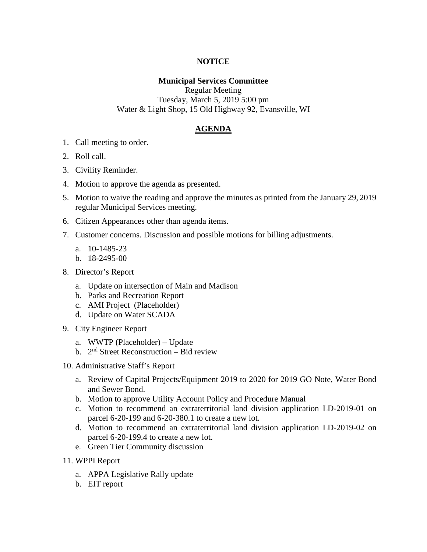# **NOTICE**

# **Municipal Services Committee**

Regular Meeting Tuesday, March 5, 2019 5:00 pm Water & Light Shop, 15 Old Highway 92, Evansville, WI

# **AGENDA**

- 1. Call meeting to order.
- 2. Roll call.
- 3. Civility Reminder.
- 4. Motion to approve the agenda as presented.
- 5. Motion to waive the reading and approve the minutes as printed from the January 29, 2019 regular Municipal Services meeting.
- 6. Citizen Appearances other than agenda items.
- 7. Customer concerns. Discussion and possible motions for billing adjustments.
	- a. 10-1485-23
	- b. 18-2495-00
- 8. Director's Report
	- a. Update on intersection of Main and Madison
	- b. Parks and Recreation Report
	- c. AMI Project (Placeholder)
	- d. Update on Water SCADA
- 9. City Engineer Report
	- a. WWTP (Placeholder) Update
	- b.  $2<sup>nd</sup> Street Reconstruction Bid review$
- 10. Administrative Staff's Report
	- a. Review of Capital Projects/Equipment 2019 to 2020 for 2019 GO Note, Water Bond and Sewer Bond.
	- b. Motion to approve Utility Account Policy and Procedure Manual
	- c. Motion to recommend an extraterritorial land division application LD-2019-01 on parcel 6-20-199 and 6-20-380.1 to create a new lot.
	- d. Motion to recommend an extraterritorial land division application LD-2019-02 on parcel 6-20-199.4 to create a new lot.
	- e. Green Tier Community discussion
- 11. WPPI Report
	- a. APPA Legislative Rally update
	- b. EIT report